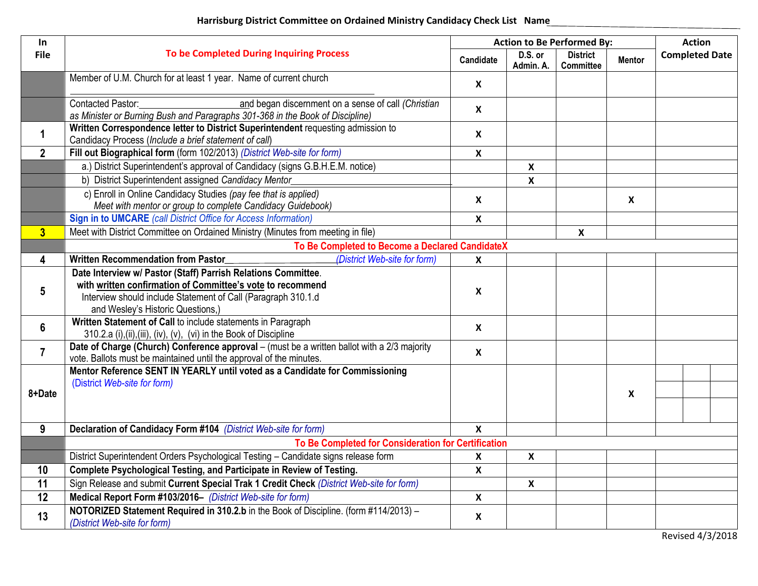## **Harrisburg District Committee on Ordained Ministry Candidacy Check List Name**

| In             |                                                                                                                                                                                                                                   | <b>Action to Be Performed By:</b> |                      |                                     |                           | <b>Action</b> |                       |  |
|----------------|-----------------------------------------------------------------------------------------------------------------------------------------------------------------------------------------------------------------------------------|-----------------------------------|----------------------|-------------------------------------|---------------------------|---------------|-----------------------|--|
| <b>File</b>    | <b>To be Completed During Inquiring Process</b>                                                                                                                                                                                   |                                   | D.S. or<br>Admin. A. | <b>District</b><br><b>Committee</b> | <b>Mentor</b>             |               | <b>Completed Date</b> |  |
|                | Member of U.M. Church for at least 1 year. Name of current church                                                                                                                                                                 | X                                 |                      |                                     |                           |               |                       |  |
|                | and began discernment on a sense of call (Christian<br>Contacted Pastor:<br>as Minister or Burning Bush and Paragraphs 301-368 in the Book of Discipline)                                                                         | $\boldsymbol{\mathsf{X}}$         |                      |                                     |                           |               |                       |  |
| $\mathbf 1$    | Written Correspondence letter to District Superintendent requesting admission to<br>Candidacy Process (Include a brief statement of call)                                                                                         | $\boldsymbol{\mathsf{X}}$         |                      |                                     |                           |               |                       |  |
| $\overline{2}$ | Fill out Biographical form (form 102/2013) (District Web-site for form)                                                                                                                                                           | $\boldsymbol{\mathsf{X}}$         |                      |                                     |                           |               |                       |  |
|                | a.) District Superintendent's approval of Candidacy (signs G.B.H.E.M. notice)                                                                                                                                                     |                                   | X                    |                                     |                           |               |                       |  |
|                | b) District Superintendent assigned Candidacy Mentor                                                                                                                                                                              |                                   | $\mathsf{X}$         |                                     |                           |               |                       |  |
|                | c) Enroll in Online Candidacy Studies (pay fee that is applied)<br>Meet with mentor or group to complete Candidacy Guidebook)                                                                                                     | $\boldsymbol{\mathsf{X}}$         |                      |                                     | $\boldsymbol{\mathsf{X}}$ |               |                       |  |
|                | <b>Sign in to UMCARE</b> (call District Office for Access Information)                                                                                                                                                            | $\boldsymbol{\mathsf{x}}$         |                      |                                     |                           |               |                       |  |
| $\overline{3}$ | Meet with District Committee on Ordained Ministry (Minutes from meeting in file)                                                                                                                                                  |                                   |                      | X                                   |                           |               |                       |  |
|                | To Be Completed to Become a Declared CandidateX                                                                                                                                                                                   |                                   |                      |                                     |                           |               |                       |  |
| 4              | (District Web-site for form)<br><b>Written Recommendation from Pastor</b>                                                                                                                                                         | X                                 |                      |                                     |                           |               |                       |  |
| 5              | Date Interview w/ Pastor (Staff) Parrish Relations Committee.<br>with written confirmation of Committee's vote to recommend<br>Interview should include Statement of Call (Paragraph 310.1.d<br>and Wesley's Historic Questions,) | $\boldsymbol{\mathsf{X}}$         |                      |                                     |                           |               |                       |  |
| 6              | Written Statement of Call to include statements in Paragraph<br>310.2.a (i),(ii),(iii), (iv), (v), (vi) in the Book of Discipline                                                                                                 | $\boldsymbol{\mathsf{X}}$         |                      |                                     |                           |               |                       |  |
| $\overline{7}$ | Date of Charge (Church) Conference approval - (must be a written ballot with a 2/3 majority<br>vote. Ballots must be maintained until the approval of the minutes.                                                                | $\boldsymbol{\mathsf{X}}$         |                      |                                     |                           |               |                       |  |
|                | Mentor Reference SENT IN YEARLY until voted as a Candidate for Commissioning<br>(District Web-site for form)                                                                                                                      |                                   |                      |                                     |                           |               |                       |  |
| 8+Date         |                                                                                                                                                                                                                                   |                                   |                      |                                     | $\boldsymbol{\mathsf{X}}$ |               |                       |  |
|                |                                                                                                                                                                                                                                   |                                   |                      |                                     |                           |               |                       |  |
| 9              | Declaration of Candidacy Form #104 (District Web-site for form)                                                                                                                                                                   | $\boldsymbol{\mathsf{x}}$         |                      |                                     |                           |               |                       |  |
|                | To Be Completed for Consideration for Certification                                                                                                                                                                               |                                   |                      |                                     |                           |               |                       |  |
|                | District Superintendent Orders Psychological Testing - Candidate signs release form                                                                                                                                               | $\boldsymbol{\mathsf{X}}$         | $\mathsf{x}$         |                                     |                           |               |                       |  |
| 10             | Complete Psychological Testing, and Participate in Review of Testing.                                                                                                                                                             | $\boldsymbol{\mathsf{X}}$         |                      |                                     |                           |               |                       |  |
| 11             | Sign Release and submit Current Special Trak 1 Credit Check (District Web-site for form)                                                                                                                                          |                                   | $\boldsymbol{X}$     |                                     |                           |               |                       |  |
| 12             | Medical Report Form #103/2016- (District Web-site for form)                                                                                                                                                                       | $\boldsymbol{\mathsf{X}}$         |                      |                                     |                           |               |                       |  |
| 13             | NOTORIZED Statement Required in 310.2.b in the Book of Discipline. (form #114/2013) -<br>(District Web-site for form)                                                                                                             | $\boldsymbol{\mathsf{X}}$         |                      |                                     |                           |               |                       |  |

Revised 4/3/2018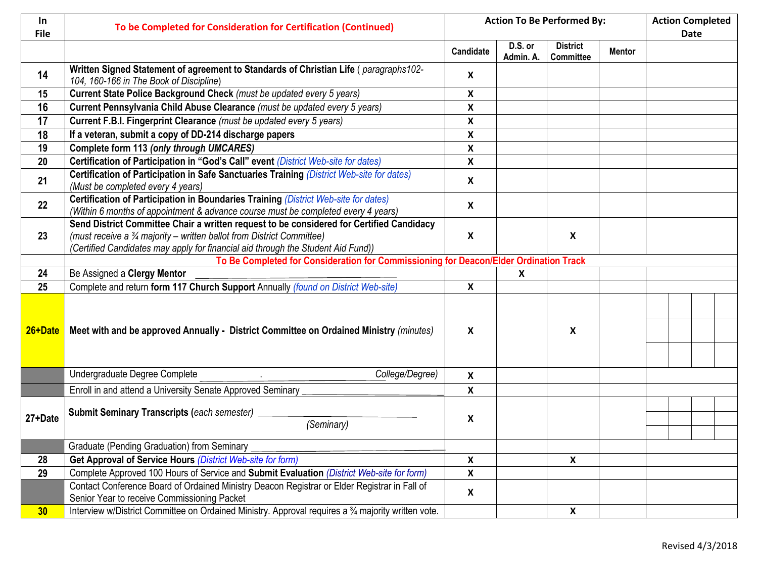| In.<br><b>File</b> | To be Completed for Consideration for Certification (Continued)                                                                                                                                                                                       | <b>Action To Be Performed By:</b> |                      |                                     |               | <b>Action Completed</b><br><b>Date</b> |  |  |
|--------------------|-------------------------------------------------------------------------------------------------------------------------------------------------------------------------------------------------------------------------------------------------------|-----------------------------------|----------------------|-------------------------------------|---------------|----------------------------------------|--|--|
|                    |                                                                                                                                                                                                                                                       | Candidate                         | D.S. or<br>Admin. A. | <b>District</b><br><b>Committee</b> | <b>Mentor</b> |                                        |  |  |
| 14                 | Written Signed Statement of agreement to Standards of Christian Life (paragraphs102-<br>104, 160-166 in The Book of Discipline)                                                                                                                       | $\boldsymbol{X}$                  |                      |                                     |               |                                        |  |  |
| 15                 | Current State Police Background Check (must be updated every 5 years)                                                                                                                                                                                 | $\boldsymbol{X}$                  |                      |                                     |               |                                        |  |  |
| 16                 | Current Pennsylvania Child Abuse Clearance (must be updated every 5 years)                                                                                                                                                                            | $\boldsymbol{\mathsf{X}}$         |                      |                                     |               |                                        |  |  |
| 17                 | Current F.B.I. Fingerprint Clearance (must be updated every 5 years)                                                                                                                                                                                  | $\boldsymbol{\mathsf{x}}$         |                      |                                     |               |                                        |  |  |
| 18                 | If a veteran, submit a copy of DD-214 discharge papers                                                                                                                                                                                                | $\boldsymbol{\mathsf{x}}$         |                      |                                     |               |                                        |  |  |
| 19                 | Complete form 113 (only through UMCARES)                                                                                                                                                                                                              | $\boldsymbol{\mathsf{X}}$         |                      |                                     |               |                                        |  |  |
| 20                 | Certification of Participation in "God's Call" event (District Web-site for dates)                                                                                                                                                                    | $\boldsymbol{\mathsf{X}}$         |                      |                                     |               |                                        |  |  |
| 21                 | Certification of Participation in Safe Sanctuaries Training (District Web-site for dates)<br>(Must be completed every 4 years)                                                                                                                        | X                                 |                      |                                     |               |                                        |  |  |
| 22                 | Certification of Participation in Boundaries Training (District Web-site for dates)<br>(Within 6 months of appointment & advance course must be completed every 4 years)                                                                              | $\boldsymbol{X}$                  |                      |                                     |               |                                        |  |  |
| 23                 | Send District Committee Chair a written request to be considered for Certified Candidacy<br>(must receive a 34 majority – written ballot from District Committee)<br>(Certified Candidates may apply for financial aid through the Student Aid Fund)) | X                                 |                      | X                                   |               |                                        |  |  |
|                    | To Be Completed for Consideration for Commissioning for Deacon/Elder Ordination Track                                                                                                                                                                 |                                   |                      |                                     |               |                                        |  |  |
| 24                 | Be Assigned a Clergy Mentor                                                                                                                                                                                                                           |                                   | X                    |                                     |               |                                        |  |  |
| 25                 | Complete and return form 117 Church Support Annually (found on District Web-site)                                                                                                                                                                     | $\boldsymbol{\mathsf{X}}$         |                      |                                     |               |                                        |  |  |
| 26+Date            | Meet with and be approved Annually - District Committee on Ordained Ministry (minutes)                                                                                                                                                                | X                                 |                      | X                                   |               |                                        |  |  |
|                    | Undergraduate Degree Complete<br>College/Degree)                                                                                                                                                                                                      | $\boldsymbol{\mathsf{X}}$         |                      |                                     |               |                                        |  |  |
|                    | Enroll in and attend a University Senate Approved Seminary                                                                                                                                                                                            | $\boldsymbol{\mathsf{X}}$         |                      |                                     |               |                                        |  |  |
| 27+Date            | <b>Submit Seminary Transcripts (each semester)</b><br>(Seminary)                                                                                                                                                                                      | X                                 |                      |                                     |               |                                        |  |  |
|                    | Graduate (Pending Graduation) from Seminary                                                                                                                                                                                                           |                                   |                      |                                     |               |                                        |  |  |
| 28                 | Get Approval of Service Hours (District Web-site for form)                                                                                                                                                                                            | $\boldsymbol{\mathsf{X}}$         |                      | X                                   |               |                                        |  |  |
| 29                 | Complete Approved 100 Hours of Service and Submit Evaluation (District Web-site for form)                                                                                                                                                             | $\pmb{\mathsf{X}}$                |                      |                                     |               |                                        |  |  |
|                    | Contact Conference Board of Ordained Ministry Deacon Registrar or Elder Registrar in Fall of<br>Senior Year to receive Commissioning Packet                                                                                                           | $\boldsymbol{\mathsf{X}}$         |                      |                                     |               |                                        |  |  |
| 30                 | Interview w/District Committee on Ordained Ministry. Approval requires a 34 majority written vote.                                                                                                                                                    |                                   |                      | X                                   |               |                                        |  |  |